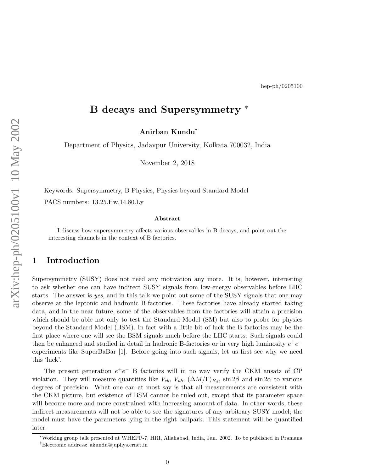## B decays and Supersymmetry ∗

Anirban Kundu †

Department of Physics, Jadavpur University, Kolkata 700032, India

November 2, 2018

Keywords: Supersymmetry, B Physics, Physics beyond Standard Model

PACS numbers: 13.25.Hw,14.80.Ly

#### Abstract

I discuss how supersymmetry affects various observables in B decays, and point out the interesting channels in the context of B factories.

#### 1 Introduction

Supersymmetry (SUSY) does not need any motivation any more. It is, however, interesting to ask whether one can have indirect SUSY signals from low-energy observables before LHC starts. The answer is yes, and in this talk we point out some of the SUSY signals that one may observe at the leptonic and hadronic B-factories. These factories have already started taking data, and in the near future, some of the observables from the factories will attain a precision which should be able not only to test the Standard Model (SM) but also to probe for physics beyond the Standard Model (BSM). In fact with a little bit of luck the B factories may be the first place where one will see the BSM signals much before the LHC starts. Such signals could then be enhanced and studied in detail in hadronic B-factories or in very high luminosity  $e^+e^$ experiments like SuperBaBar [1]. Before going into such signals, let us first see why we need this 'luck'.

The present generation  $e^+e^-$  B factories will in no way verify the CKM ansatz of CP violation. They will measure quantities like  $V_{cb}$ ,  $V_{ub}$ ,  $(\Delta M/\Gamma)_{B_d}$ , sin 2 $\beta$  and sin 2 $\alpha$  to various degrees of precision. What one can at most say is that all measurements are consistent with the CKM picture, but existence of BSM cannot be ruled out, except that its parameter space will become more and more constrained with increasing amount of data. In other words, these indirect measurements will not be able to see the signatures of any arbitrary SUSY model; the model must have the parameters lying in the right ballpark. This statement will be quantified later.

0

<sup>∗</sup>Working group talk presented at WHEPP-7, HRI, Allahabad, India, Jan. 2002. To be published in Pramana

<sup>†</sup>Electronic address: akundu@juphys.ernet.in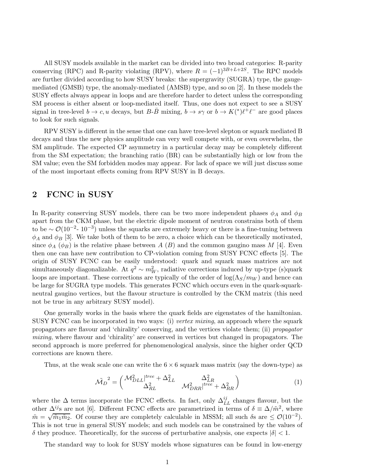All SUSY models available in the market can be divided into two broad categories: R-parity conserving (RPC) and R-parity violating (RPV), where  $R = (-1)^{3B+L+2S}$ . The RPC models are further divided according to how SUSY breaks: the supergravity (SUGRA) type, the gaugemediated (GMSB) type, the anomaly-mediated (AMSB) type, and so on [2]. In these models the SUSY effects always appear in loops and are therefore harder to detect unless the corresponding SM process is either absent or loop-mediated itself. Thus, one does not expect to see a SUSY signal in tree-level  $b \to c$ , u decays, but  $B-\bar{B}$  mixing,  $b \to s\gamma$  or  $b \to K(^*)\ell^+\ell^-$  are good places to look for such signals.

RPV SUSY is different in the sense that one can have tree-level slepton or squark mediated B decays and thus the new physics amplitude can very well compete with, or even overwhelm, the SM amplitude. The expected CP asymmetry in a particular decay may be completely different from the SM expectation; the branching ratio (BR) can be substantially high or low from the SM value; even the SM forbidden modes may appear. For lack of space we will just discuss some of the most important effects coming from RPV SUSY in B decays.

### 2 FCNC in SUSY

In R-parity conserving SUSY models, there can be two more independent phases  $\phi_A$  and  $\phi_B$ apart from the CKM phase, but the electric dipole moment of neutron constrains both of them to be  $\sim \mathcal{O}(10^{-2} - 10^{-3})$  unless the squarks are extremely heavy or there is a fine-tuning between  $\phi_A$  and  $\phi_B$  [3]. We take both of them to be zero, a choice which can be theoretically motivated, since  $\phi_A$  ( $\phi_B$ ) is the relative phase between A (B) and the common gaugino mass M [4]. Even then one can have new contribution to CP-violation coming from SUSY FCNC effects [5]. The origin of SUSY FCNC can be easily understood: quark and squark mass matrices are not simultaneously diagonalizable. At  $q^2 \sim m_W^2$ , radiative corrections induced by up-type (s)quark loops are important. These corrections are typically of the order of  $\log(\Lambda_S/m_W)$  and hence can be large for SUGRA type models. This generates FCNC which occurs even in the quark-squarkneutral gaugino vertices, but the flavour structure is controlled by the CKM matrix (this need not be true in any arbitrary SUSY model).

One generally works in the basis where the quark fields are eigenstates of the hamiltonian. SUSY FCNC can be incorporated in two ways: (i) vertex mixing, an approach where the squark propagators are flavour and 'chirality' conserving, and the vertices violate them; (ii) propagator mixing, where flavour and 'chirality' are conserved in vertices but changed in propagators. The second approach is more preferred for phenomenological analysis, since the higher order QCD corrections are known there.

Thus, at the weak scale one can write the  $6 \times 6$  squark mass matrix (say the down-type) as

$$
\tilde{M_D}^2 = \begin{pmatrix} \mathcal{M}_{DLL}^2 \vert^{tree} + \Delta_{LL}^2 & \Delta_{LR}^2 \\ \Delta_{RL}^2 & \mathcal{M}_{DRR}^2 \vert^{tree} + \Delta_{RR}^2 \end{pmatrix} \tag{1}
$$

where the  $\Delta$  terms incorporate the FCNC effects. In fact, only  $\Delta_{LL}^{ij}$  changes flavour, but the other  $\Delta^{ij}$ s are not [6]. Different FCNC effects are parametrized in terms of  $\delta \equiv \Delta/\tilde{m}^2$ , where  $\tilde{m} = \sqrt{\tilde{m}_1 \tilde{m}_2}$ . Of course they are completely calculable in MSSM; all such  $\delta$ s are  $\leq \mathcal{O}(10^{-2})$ . This is not true in general SUSY models; and such models can be constrained by the values of  $δ$  they produce. Theoretically, for the success of perturbative analysis, one expects  $|δ| < 1$ .

The standard way to look for SUSY models whose signatures can be found in low-energy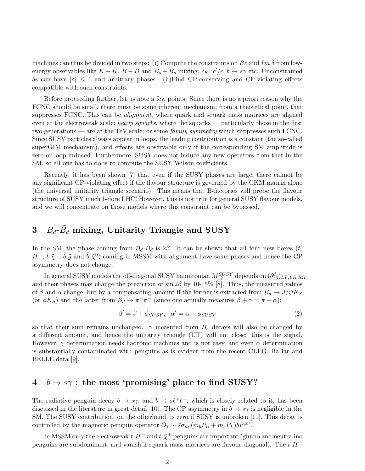machines can thus be divided in two steps: (i) Compute the constraints on Re and Im  $\delta$  from lowenergy observables like  $K - \bar{K}$ ,  $B - \bar{B}$  and  $B_s - \bar{B}_s$  mixing,  $\epsilon_K$ ,  $\epsilon'/\epsilon$ ,  $b \to s\gamma$  etc. Unconstrained δs can have |δ| ≤ 1 and arbitrary phases. (ii)Find CP-conserving and CP-violating effects compatible with such constraints.

Before proceeding further, let us note a few points. Since there is no a priori reason why the FCNC should be small, there must be some inherent mechanism, from a theoretical point, that suppresses FCNC. This can be *alignment*, where quark and squark mass matrices are aligned even at the electroweak scale; heavy squarks, where the squarks — particularly those in the first two generations — are at the TeV scale; or some family symmetry which suppresses such FCNC. Since SUSY particles always appear in loops, the leading contribution is a constant (the so-called superGIM mechanism), and effects are observable only if the corresponding SM amplitude is zero or loop-induced. Furthermore, SUSY does not induce any new operators from that in the SM, so all one has to do is to compute the SUSY Wilson coefficients.

Recently, it has been shown [7] that even if the SUSY phases are large, there cannot be any significant CP-violating effect if the flavour structure is governed by the CKM matrix alone (the universal unitarity triangle scenario). This means that B-factories will probe the flavour structure of SUSY much before LHC! However, this is not true for general SUSY flavour models, and we will concentrate on those models where this constraint can be bypassed.

# $3$   $B_d$ - $\bar{B_d}$  mixing, Unitarity Triangle and SUSY

In the SM, the phase coming from  $B_d$ - $\bar{B}_d$  is 2 $\beta$ . It can be shown that all four new boxes (t- $H^+$ ,  $\tilde{t}$ - $\tilde{\chi}^+$ ,  $\tilde{b}$ - $\tilde{g}$  and  $\tilde{b}$ - $\tilde{\chi}^0$ ) coming in MSSM with alignment have same phases and hence the CP asymmetry does not change.

In general SUSY models the off-diagonal SUSY hamiltonian  $M_{12}^{SUSY}$  depends on  $(\delta^d_{13})_{LL,LR,RR}$ and their phases may change the prediction of  $\sin 2\beta$  by 10-15% [8]. Thus, the measured values of β and  $\alpha$  change, but by a compensating amount if the former is extracted from  $B_d \to J/\psi K_S$ (or  $\phi K_S$ ) and the latter from  $B_d \to \pi^+ \pi^-$  (since one actually measures  $\beta + \gamma = \pi - \alpha$ ):

$$
\beta' = \beta + \phi_{SUSY}, \quad \alpha' = \alpha - \phi_{SUSY}
$$
 (2)

so that their sum remains unchanged.  $\gamma$  measured from  $B_s$  decays will also be changed by a different amount, and hence the unitarity triangle (UT) will not close: this is the signal. However,  $\gamma$  determination needs hadronic machines and is not easy, and even  $\alpha$  determination is substantially contaminated with penguins as is evident from the recent CLEO, BaBar and BELLE data [9].

### $4 \quad b \rightarrow s\gamma$ : the most 'promising' place to find SUSY?

The radiative penguin decay  $b \to s\gamma$ , and  $b \to s\ell^+\ell^-$ , which is closely related to it, has been discussed in the literature in great detail [10]. The CP asymmetry in  $b \to s\gamma$  is negligible in the SM. The SUSY contribution, on the otherhand, is zero if SUSY is unbroken [11]. This decay is controlled by the magnetic penguin operator  $O_7 \sim \bar{s}\sigma_{\mu\nu}(m_b P_R + m_s P_L) bF^{\mu\nu}$ .

In MSSM only the electroweak  $t$ - $H^+$  and  $\tilde{t}$ - $\tilde{\chi}^+$  penguins are important (gluino and neutralino penguins are subdominant, and vanish if squark mass matrices are flavour-diagonal). The  $t$ -H<sup>+</sup>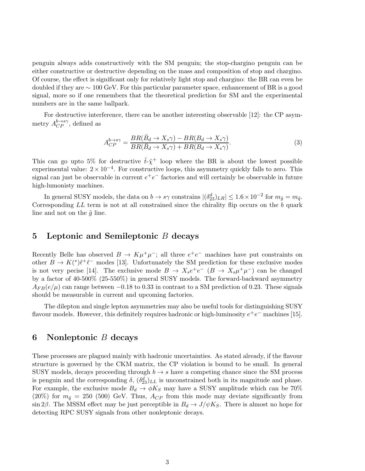penguin always adds constructively with the SM penguin; the stop-chargino penguin can be either constructive or destructive depending on the mass and composition of stop and chargino. Of course, the effect is significant only for relatively light stop and chargino: the BR can even be doubled if they are ∼ 100 GeV. For this particular parameter space, enhancement of BR is a good signal, more so if one remembers that the theoretical prediction for SM and the experimental numbers are in the same ballpark.

For destructive interference, there can be another interesting observable [12]: the CP asymmetry  $A_{CP}^{b\to s\gamma}$ , defined as

$$
A_{CP}^{b \to s\gamma} = \frac{BR(\bar{B}_d \to X_s \gamma) - BR(B_d \to X_s \gamma)}{BR(\bar{B}_d \to X_s \gamma) + BR(B_d \to X_s \gamma)}.
$$
\n(3)

This can go upto 5% for destructive  $\tilde{t}$ - $\tilde{\chi}^+$  loop where the BR is about the lowest possible experimental value:  $2 \times 10^{-4}$ . For constructive loops, this asymmetry quickly falls to zero. This signal can just be observable in current  $e^+e^-$  factories and will certainly be observable in future high-lumonisty machines.

In general SUSY models, the data on  $b \to s\gamma$  constrains  $|(\delta_{23}^d)_{LR}| \leq 1.6 \times 10^{-2}$  for  $m_{\tilde{g}} = m_{\tilde{q}}$ . Corresponding  $LL$  term is not at all constrained since the chirality flip occurs on the b quark line and not on the  $\tilde{q}$  line.

#### 5 Leptonic and Semileptonic  $B$  decays

Recently Belle has observed  $B \to K\mu^+\mu^-$ ; all three  $e^+e^-$  machines have put constraints on other  $B \to K^*(\ell^+ \ell^-)$  modes [13]. Unfortunately the SM prediction for these exclusive modes is not very pecise [14]. The exclusive mode  $B \to X_s e^+e^ (B \to X_s \mu^+\mu^-)$  can be changed by a factor of 40-500% (25-550%) in general SUSY models. The forward-backward asymmetry  $A_{FB}(e/\mu)$  can range between  $-0.18$  to 0.33 in contrast to a SM prediction of 0.23. These signals should be measurable in current and upcoming factories.

The dilepton and single lepton asymmetries may also be useful tools for distinguishing SUSY flavour models. However, this definitely requires hadronic or high-luminosity  $e^+e^-$  machines [15].

### 6 Nonleptonic B decays

These processes are plagued mainly with hadronic uncertainties. As stated already, if the flavour structure is governed by the CKM matrix, the CP violation is bound to be small. In general SUSY models, decays proceeding through  $b \rightarrow s$  have a competing chance since the SM process is penguin and the corresponding  $\delta$ ,  $(\delta_{23}^d)_{LL}$  is unconstrained both in its magnitude and phase. For example, the exclusive mode  $B_d \to \phi K_S$  may have a SUSY amplitude which can be 70% (20%) for  $m_{\tilde{q}} = 250$  (500) GeV. Thus,  $A_{CP}$  from this mode may deviate significantly from sin 2β. The MSSM effect may be just perceptible in  $B_d \to J/\psi K_S$ . There is almost no hope for detecting RPC SUSY signals from other nonleptonic decays.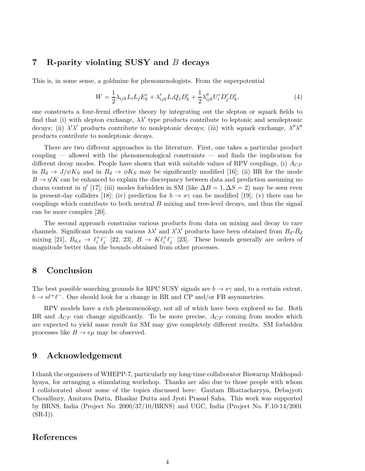#### 7 R-parity violating SUSY and B decays

This is, in some sense, a goldmine for phenomenologists. From the superpotential

$$
W = \frac{1}{2}\lambda_{ijk}L_iL_jE_k^c + \lambda'_{ijk}L_iQ_jD_k^c + \frac{1}{2}\lambda''_{ijk}U_i^cD_j^cD_k^c,
$$
\n<sup>(4)</sup>

one constructs a four-fermi effective theory by integrating out the slepton or squark fields to find that (i) with slepton exchange,  $\lambda \lambda'$  type products contribute to leptonic and semileptonic decays; (ii)  $\lambda' \lambda'$  products contribute to nonleptonic decays; (iii) with squark exchange,  $\lambda'' \lambda''$ products contribute to nonleptonic decays.

There are two different approaches in the literature. First, one takes a particular product coupling — allowed with the phenomenological constraints — and finds the implication for different decay modes. People have shown that with suitable values of RPV couplings, (i)  $A_{CP}$ in  $B_d \to J/\psi K_S$  and in  $B_d \to \phi K_S$  may be significantly modified [16]; (ii) BR for the mode  $B \to \eta' K$  can be enhanced to explain the discrepancy between data and prediction assuming no charm content in  $\eta'$  [17]; (iii) modes forbidden in SM (like  $\Delta B = 1, \Delta S = 2$ ) may be seen even in present-day colliders [18]; (iv) prediction for  $b \to s\gamma$  can be modified [19]; (v) there can be couplings which contribute to both neutral  $B$  mixing and tree-level decays, and thus the signal can be more complex [20].

The second approach constrains various products from data on mixing and decay to rare channels. Significant bounds on various  $\lambda \lambda'$  and  $\lambda' \lambda'$  products have been obtained from  $B_d$ - $\bar{B_d}$ mixing [21],  $B_{d,s} \rightarrow \ell_i^+$  $i^+ \ell^-_j$  [22, 23],  $B \to K \ell^+_i \ell^-_j$  [23]. These bounds generally are orders of magnitude better than the bounds obtained from other processes.

#### 8 Conclusion

The best possible searching grounds for RPC SUSY signals are  $b \to s\gamma$  and, to a certain extent,  $b\to s\ell^+\ell^-$  . One should look for a change in BR and CP and/or FB asymmetries.

RPV models have a rich phenomenology, not all of which have been explored so far. Both BR and  $A_{CP}$  can change significantly. To be more precise,  $A_{CP}$  coming from modes which are expected to yield same result for SM may give completely different results. SM forbidden processes like  $B \to e\mu$  may be observed.

#### 9 Acknowledgement

I thank the organisers of WHEPP-7, particularly my long-time collaborator Biswarup Mukhopadhyaya, for arranging a stimulating workshop. Thanks are also due to those people with whom I collaborated about some of the topics discussed here: Gautam Bhattacharyya, Debajyoti Choudhury, Amitava Datta, Bhaskar Dutta and Jyoti Prasad Saha. This work was supported by BRNS, India (Project No. 2000/37/10/BRNS) and UGC, India (Project No. F.10-14/2001  $(SR-I)$ .

#### References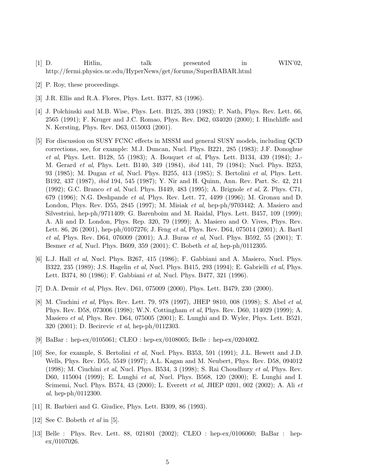- [1] D. Hitlin, talk presented in WIN'02, http://fermi.physics.uc.edu/HyperNews/get/forums/SuperBABAR.html
- 

- [2] P. Roy, these proceedings.
- [3] J.R. Ellis and R.A. Flores, Phys. Lett. B377, 83 (1996).
- [4] J. Polchinski and M.B. Wise, Phys. Lett. B125, 393 (1983); P. Nath, Phys. Rev. Lett. 66, 2565 (1991); F. Kruger and J.C. Romao, Phys. Rev. D62, 034020 (2000); I. Hinchliffe and N. Kersting, Phys. Rev. D63, 015003 (2001).
- [5] For discussion on SUSY FCNC effects in MSSM and general SUSY models, including QCD corrections, see, for example: M.J. Duncan, Nucl. Phys. B221, 285 (1983); J.F. Donoghue et al, Phys. Lett. B128, 55 (1983); A. Bouquet et al, Phys. Lett. B134, 439 (1984); J.- M. Gerard et al, Phys. Lett. B140, 349 (1984), ibid 141, 79 (1984); Nucl. Phys. B253, 93 (1985); M. Dugan et al, Nucl. Phys. B255, 413 (1985); S. Bertolini et al, Phys. Lett. B192, 437 (1987), ibid 194, 545 (1987); Y. Nir and H. Quinn, Ann. Rev. Part. Sc. 42, 211 (1992); G.C. Branco et al, Nucl. Phys. B449, 483 (1995); A. Brignole et al, Z. Phys. C71, 679 (1996); N.G. Deshpande et al, Phys. Rev. Lett. 77, 4499 (1996); M. Gronau and D. London, Phys. Rev. D55, 2845 (1997); M. Misiak *et al*, hep-ph/9703442; A. Masiero and Silvestrini, hep-ph/9711409; G. Barenboim and M. Raidal, Phys. Lett. B457, 109 (1999); A. Ali and D. London, Phys. Rep. 320, 79 (1999); A. Masiero and O. Vives, Phys. Rev. Lett. 86, 26 (2001), hep-ph/0107276; J. Feng et al, Phys. Rev. D64, 075014 (2001); A. Bartl et al, Phys. Rev. D64, 076009 (2001); A.J. Buras et al, Nucl. Phys. B592, 55 (2001); T. Besmer et al, Nucl. Phys. B609, 359 (2001); C. Bobeth et al, hep-ph/0112305.
- [6] L.J. Hall et al, Nucl. Phys. B267, 415 (1986); F. Gabbiani and A. Masiero, Nucl. Phys. B322, 235 (1989); J.S. Hagelin et al, Nucl. Phys. B415, 293 (1994); E. Gabrielli et al, Phys. Lett. B374, 80 (1986); F. Gabbiani et al, Nucl. Phys. B477, 321 (1996).
- [7] D.A. Demir et al, Phys. Rev. D61, 075009 (2000), Phys. Lett. B479, 230 (2000).
- [8] M. Ciuchini et al, Phys. Rev. Lett. 79, 978 (1997), JHEP 9810, 008 (1998); S. Abel et al. Phys. Rev. D58, 073006 (1998); W.N. Cottingham et al, Phys. Rev. D60, 114029 (1999); A. Masiero et al, Phys. Rev. D64, 075005 (2001); E. Lunghi and D. Wyler, Phys. Lett. B521, 320 (2001); D. Becirevic et al, hep-ph/0112303.
- [9] BaBar : hep-ex/0105061; CLEO : hep-ex/0108005; Belle : hep-ex/0204002.
- [10] See, for example, S. Bertolini et al, Nucl. Phys. B353, 591 (1991); J.L. Hewett and J.D. Wells, Phys. Rev. D55, 5549 (1997); A.L. Kagan and M. Neubert, Phys. Rev. D58, 094012 (1998); M. Ciuchini et al, Nucl. Phys. B534, 3 (1998); S. Rai Choudhury et al, Phys. Rev. D60, 115004 (1999); E. Lunghi et al, Nucl. Phys. B568, 120 (2000); E. Lunghi and I. Scimemi, Nucl. Phys. B574, 43 (2000); L. Everett et al, JHEP 0201, 002 (2002); A. Ali et al, hep-ph/0112300.
- [11] R. Barbieri and G. Giudice, Phys. Lett. B309, 86 (1993).
- [12] See C. Bobeth et al in [5].
- [13] Belle : Phys. Rev. Lett. 88, 021801 (2002); CLEO : hep-ex/0106060; BaBar : hep $ex/0107026.$